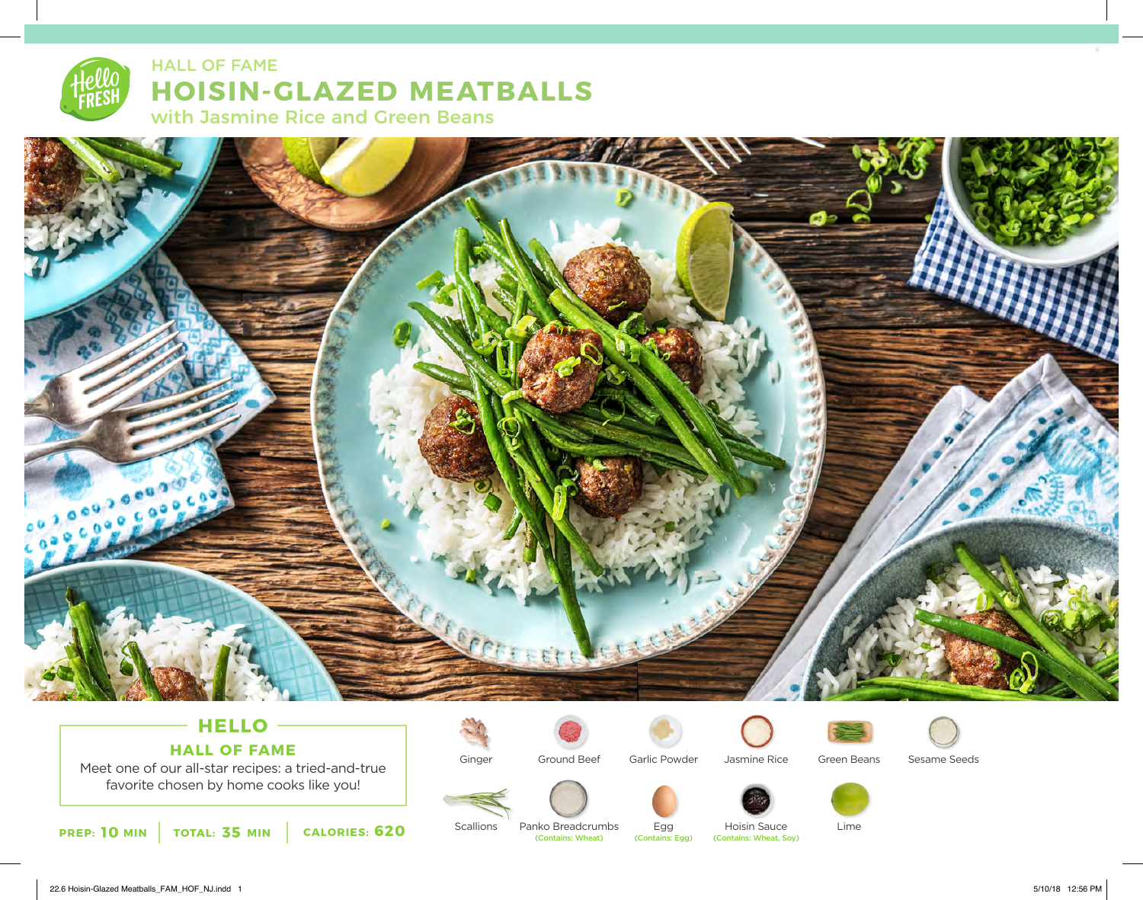## **HOISIN-GLAZED MEATBALLS** HALL OF FAME

with Jasmine Rice and Green Beans



### **HELLO HALL OF FAME**

Meet one of our all-star recipes: a tried-and-true favorite chosen by home cooks like you!

Ground Beef



Jasmine Rice



Sesame Seeds

(Contains: Wheat)

Ginger

**Scallions** 



Lime

**10 35 620** (Contains: Wheat, Soy) **PREP: MIN TOTAL: MIN CALORIES:** Hoisin Sauce<br>(Contains: Wheat, Sov)